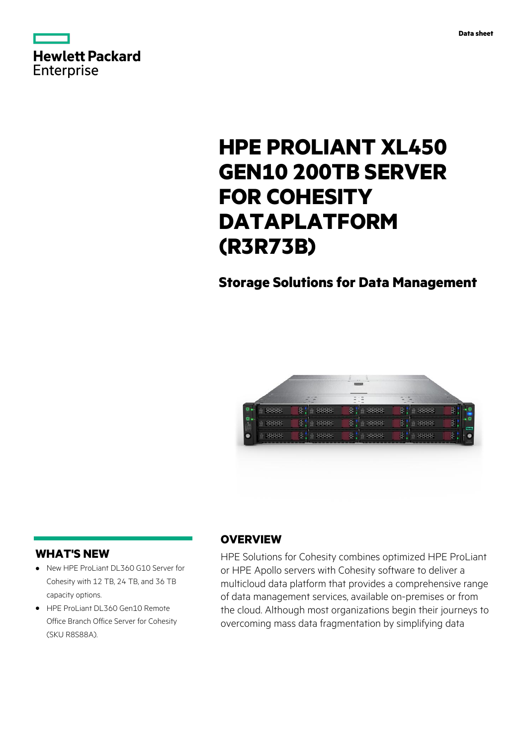



# **HPE PROLIANT XL450 GEN10 200TB SERVER FOR COHESITY DATAPLATFORM (R3R73B)**

## **Storage Solutions for Data Management**



### **WHAT'S NEW**

- **·** New HPE ProLiant DL360 G10 Server for Cohesity with 12 TB, 24 TB, and 36 TB capacity options.
- **·** HPE ProLiant DL360 Gen10 Remote Office Branch Office Server for Cohesity (SKU R8S88A).

### **OVERVIEW**

HPE Solutions for Cohesity combines optimized HPE ProLiant or HPE Apollo servers with Cohesity software to deliver a multicloud data platform that provides a comprehensive range of data management services, available on-premises or from the cloud. Although most organizations begin their journeys to overcoming mass data fragmentation by simplifying data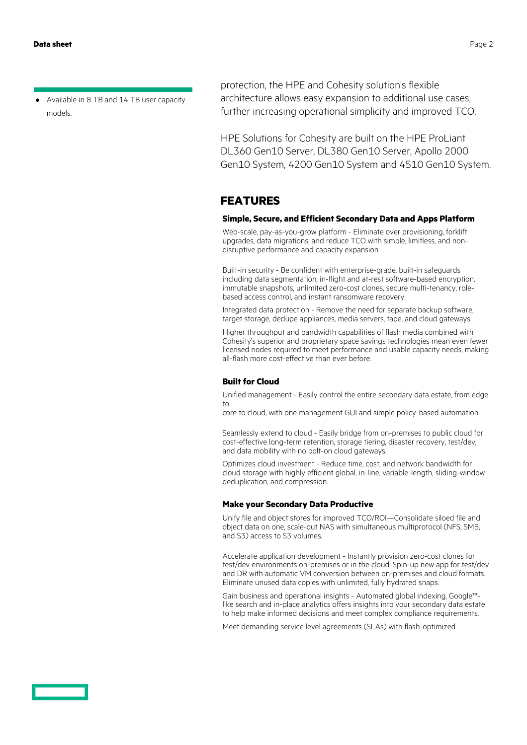**·** Available in 8 TB and 14 TB user capacity models.

protection, the HPE and Cohesity solution's flexible architecture allows easy expansion to additional use cases, further increasing operational simplicity and improved TCO.

HPE Solutions for Cohesity are built on the HPE ProLiant DL360 Gen10 Server, DL380 Gen10 Server, Apollo 2000 Gen10 System, 4200 Gen10 System and 4510 Gen10 System.

#### **FEATURES**

#### **Simple, Secure, and Efficient Secondary Data and Apps Platform**

Web-scale, pay-as-you-grow platform - Eliminate over provisioning, forklift upgrades, data migrations; and reduce TCO with simple, limitless, and nondisruptive performance and capacity expansion.

Built-in security - Be confident with enterprise-grade, built-in safeguards including data segmentation, in-flight and at-rest software-based encryption, immutable snapshots, unlimited zero-cost clones, secure multi-tenancy, rolebased access control, and instant ransomware recovery.

Integrated data protection - Remove the need for separate backup software, target storage, dedupe appliances, media servers, tape, and cloud gateways.

Higher throughput and bandwidth capabilities of flash media combined with Cohesity's superior and proprietary space savings technologies mean even fewer licensed nodes required to meet performance and usable capacity needs, making all-flash more cost-effective than ever before.

#### **Built for Cloud**

Unified management - Easily control the entire secondary data estate, from edge to

core to cloud, with one management GUI and simple policy-based automation.

Seamlessly extend to cloud - Easily bridge from on-premises to public cloud for cost-effective long-term retention, storage tiering, disaster recovery, test/dev, and data mobility with no bolt-on cloud gateways.

Optimizes cloud investment - Reduce time, cost, and network bandwidth for cloud storage with highly efficient global, in-line, variable-length, sliding-window deduplication, and compression.

#### **Make your Secondary Data Productive**

Unify file and object stores for improved TCO/ROI—Consolidate siloed file and object data on one, scale-out NAS with simultaneous multiprotocol (NFS, SMB, and S3) access to S3 volumes.

Accelerate application development - Instantly provision zero-cost clones for test/dev environments on-premises or in the cloud. Spin-up new app for test/dev and DR with automatic VM conversion between on-premises and cloud formats. Eliminate unused data copies with unlimited, fully hydrated snaps.

Gain business and operational insights - Automated global indexing, Google™ like search and in-place analytics offers insights into your secondary data estate to help make informed decisions and meet complex compliance requirements.

Meet demanding service level agreements (SLAs) with flash-optimized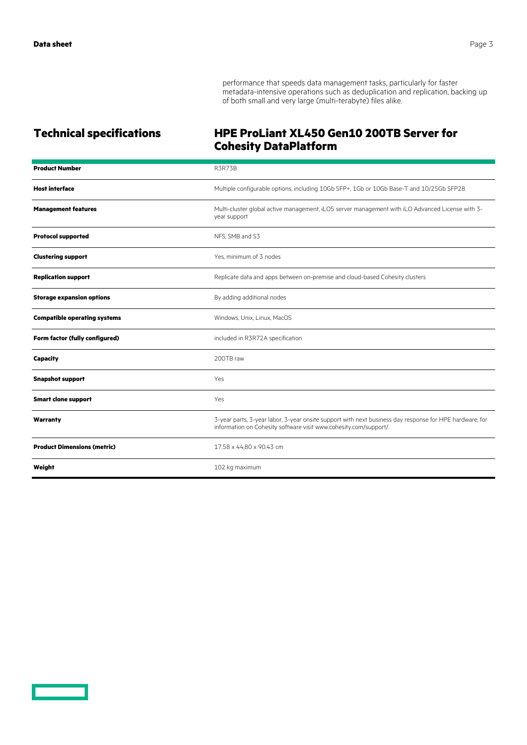performance that speeds data management tasks, particularly for faster metadata-intensive operations such as deduplication and replication, backing up of both small and very large (multi-terabyte) files alike.

### **Technical specifications HPE ProLiant XL450 Gen10 200TB Server for Cohesity DataPlatform**

| <b>Product Number</b>               | <b>R3R73B</b>                                                                                                                                                                |
|-------------------------------------|------------------------------------------------------------------------------------------------------------------------------------------------------------------------------|
| <b>Host interface</b>               | Multiple configurable options, including 10Gb SFP+, 1Gb or 10Gb Base-T and 10/25Gb SFP28                                                                                     |
| <b>Management features</b>          | Multi-cluster global active management, iLO5 server management with iLO Advanced License with 3-<br>year support                                                             |
| <b>Protocol supported</b>           | NFS, SMB and S3                                                                                                                                                              |
| <b>Clustering support</b>           | Yes, minimum of 3 nodes                                                                                                                                                      |
| <b>Replication support</b>          | Replicate data and apps between on-premise and cloud-based Cohesity clusters                                                                                                 |
| <b>Storage expansion options</b>    | By adding additional nodes                                                                                                                                                   |
| <b>Compatible operating systems</b> | Windows, Unix, Linux, MacOS                                                                                                                                                  |
| Form factor (fully configured)      | included in R3R72A specification                                                                                                                                             |
| Capacity                            | 200TB raw                                                                                                                                                                    |
| <b>Snapshot support</b>             | Yes                                                                                                                                                                          |
| <b>Smart clone support</b>          | Yes                                                                                                                                                                          |
| Warranty                            | 3-year parts, 3-year labor, 3-year onsite support with next business day response for HPE hardware, for<br>information on Cohesity software visit www.cohesity.com/support/. |
| <b>Product Dimensions (metric)</b>  | 17.58 x 44,80 x 90.43 cm                                                                                                                                                     |
| Weight                              | 102 kg maximum                                                                                                                                                               |